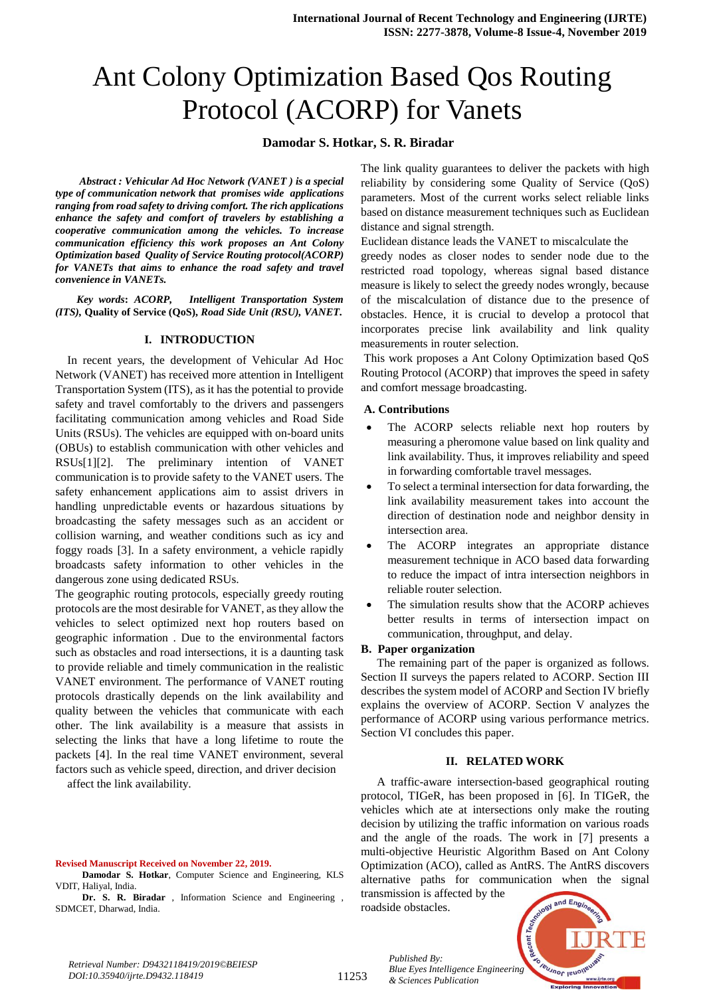# Ant Colony Optimization Based Qos Routing Protocol (ACORP) for Vanets

## **Damodar S. Hotkar, S. R. Biradar**

*Abstract : Vehicular Ad Hoc Network (VANET ) is a special type of communication network that promises wide applications ranging from road safety to driving comfort. The rich applications enhance the safety and comfort of travelers by establishing a cooperative communication among the vehicles. To increase communication efficiency this work proposes an Ant Colony Optimization based Quality of Service Routing protocol(ACORP) for VANETs that aims to enhance the road safety and travel convenience in VANETs.* 

*Key words***:** *ACORP, Intelligent Transportation System (ITS),* **Quality of Service (QoS),** *Road Side Unit (RSU), VANET.*

#### **I. INTRODUCTION**

In recent years, the development of Vehicular Ad Hoc Network (VANET) has received more attention in Intelligent Transportation System (ITS), as it has the potential to provide safety and travel comfortably to the drivers and passengers facilitating communication among vehicles and Road Side Units (RSUs). The vehicles are equipped with on-board units (OBUs) to establish communication with other vehicles and RSUs[1][2]. The preliminary intention of VANET communication is to provide safety to the VANET users. The safety enhancement applications aim to assist drivers in handling unpredictable events or hazardous situations by broadcasting the safety messages such as an accident or collision warning, and weather conditions such as icy and foggy roads [3]. In a safety environment, a vehicle rapidly broadcasts safety information to other vehicles in the dangerous zone using dedicated RSUs.

The geographic routing protocols, especially greedy routing protocols are the most desirable for VANET, as they allow the vehicles to select optimized next hop routers based on geographic information . Due to the environmental factors such as obstacles and road intersections, it is a daunting task to provide reliable and timely communication in the realistic VANET environment. The performance of VANET routing protocols drastically depends on the link availability and quality between the vehicles that communicate with each other. The link availability is a measure that assists in selecting the links that have a long lifetime to route the packets [4]. In the real time VANET environment, several factors such as vehicle speed, direction, and driver decision

affect the link availability.

#### **Revised Manuscript Received on November 22, 2019.**

**Damodar S. Hotkar**, Computer Science and Engineering, KLS VDIT, Haliyal, India.

**Dr. S. R. Biradar** , Information Science and Engineering , SDMCET, Dharwad, India.

The link quality guarantees to deliver the packets with high reliability by considering some Quality of Service (QoS) parameters. Most of the current works select reliable links based on distance measurement techniques such as Euclidean distance and signal strength.

Euclidean distance leads the VANET to miscalculate the greedy nodes as closer nodes to sender node due to the restricted road topology, whereas signal based distance measure is likely to select the greedy nodes wrongly, because of the miscalculation of distance due to the presence of obstacles. Hence, it is crucial to develop a protocol that incorporates precise link availability and link quality measurements in router selection.

This work proposes a Ant Colony Optimization based QoS Routing Protocol (ACORP) that improves the speed in safety and comfort message broadcasting.

## **A. Contributions**

- The ACORP selects reliable next hop routers by measuring a pheromone value based on link quality and link availability. Thus, it improves reliability and speed in forwarding comfortable travel messages.
- To select a terminal intersection for data forwarding, the link availability measurement takes into account the direction of destination node and neighbor density in intersection area.
- The ACORP integrates an appropriate distance measurement technique in ACO based data forwarding to reduce the impact of intra intersection neighbors in reliable router selection.
- The simulation results show that the ACORP achieves better results in terms of intersection impact on communication, throughput, and delay.

#### **B. Paper organization**

The remaining part of the paper is organized as follows. Section II surveys the papers related to ACORP. Section III describes the system model of ACORP and Section IV briefly explains the overview of ACORP. Section V analyzes the performance of ACORP using various performance metrics. Section VI concludes this paper.

### **II. RELATED WORK**

A traffic-aware intersection-based geographical routing protocol, TIGeR, has been proposed in [6]. In TIGeR, the vehicles which ate at intersections only make the routing decision by utilizing the traffic information on various roads and the angle of the roads. The work in [7] presents a multi-objective Heuristic Algorithm Based on Ant Colony Optimization (ACO), called as AntRS. The AntRS discovers alternative paths for communication when the signal

transmission is affected by the roadside obstacles.

*& Sciences Publication* 

*Published By:*



*Retrieval Number: D9432118419/2019©BEIESP DOI:10.35940/ijrte.D9432.118419*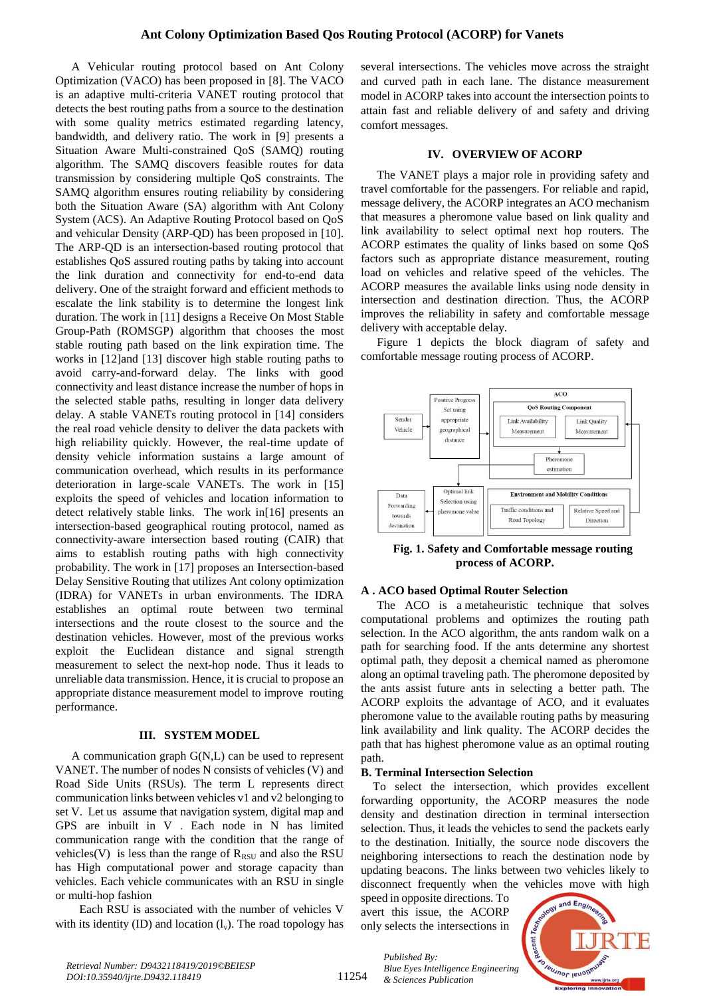A Vehicular routing protocol based on Ant Colony Optimization (VACO) has been proposed in [8]. The VACO is an adaptive multi-criteria VANET routing protocol that detects the best routing paths from a source to the destination with some quality metrics estimated regarding latency, bandwidth, and delivery ratio. The work in [9] presents a Situation Aware Multi-constrained QoS (SAMQ) routing algorithm. The SAMQ discovers feasible routes for data transmission by considering multiple QoS constraints. The SAMQ algorithm ensures routing reliability by considering both the Situation Aware (SA) algorithm with Ant Colony System (ACS). An Adaptive Routing Protocol based on QoS and vehicular Density (ARP-QD) has been proposed in [10]. The ARP-QD is an intersection-based routing protocol that establishes QoS assured routing paths by taking into account the link duration and connectivity for end-to-end data delivery. One of the straight forward and efficient methods to escalate the link stability is to determine the longest link duration. The work in [11] designs a Receive On Most Stable Group-Path (ROMSGP) algorithm that chooses the most stable routing path based on the link expiration time. The works in [12]and [13] discover high stable routing paths to avoid carry-and-forward delay. The links with good connectivity and least distance increase the number of hops in the selected stable paths, resulting in longer data delivery delay. A stable VANETs routing protocol in [14] considers the real road vehicle density to deliver the data packets with high reliability quickly. However, the real-time update of density vehicle information sustains a large amount of communication overhead, which results in its performance deterioration in large-scale VANETs. The work in [15] exploits the speed of vehicles and location information to detect relatively stable links. The work in[16] presents an intersection-based geographical routing protocol, named as connectivity-aware intersection based routing (CAIR) that aims to establish routing paths with high connectivity probability. The work in [17] proposes an Intersection-based Delay Sensitive Routing that utilizes Ant colony optimization (IDRA) for VANETs in urban environments. The IDRA establishes an optimal route between two terminal intersections and the route closest to the source and the destination vehicles. However, most of the previous works exploit the Euclidean distance and signal strength measurement to select the next-hop node. Thus it leads to unreliable data transmission. Hence, it is crucial to propose an appropriate distance measurement model to improve routing performance.

### **III. SYSTEM MODEL**

A communication graph G(N,L) can be used to represent VANET. The number of nodes N consists of vehicles (V) and Road Side Units (RSUs). The term L represents direct communication links between vehicles v1 and v2 belonging to set V. Let us assume that navigation system, digital map and GPS are inbuilt in V . Each node in N has limited communication range with the condition that the range of vehicles(V) is less than the range of  $R_{RSU}$  and also the RSU has High computational power and storage capacity than vehicles. Each vehicle communicates with an RSU in single or multi-hop fashion

Each RSU is associated with the number of vehicles V with its identity (ID) and location  $(l_v)$ . The road topology has

several intersections. The vehicles move across the straight and curved path in each lane. The distance measurement model in ACORP takes into account the intersection points to attain fast and reliable delivery of and safety and driving comfort messages.

## **IV. OVERVIEW OF ACORP**

The VANET plays a major role in providing safety and travel comfortable for the passengers. For reliable and rapid, message delivery, the ACORP integrates an ACO mechanism that measures a pheromone value based on link quality and link availability to select optimal next hop routers. The ACORP estimates the quality of links based on some QoS factors such as appropriate distance measurement, routing load on vehicles and relative speed of the vehicles. The ACORP measures the available links using node density in intersection and destination direction. Thus, the ACORP improves the reliability in safety and comfortable message delivery with acceptable delay.

Figure 1 depicts the block diagram of safety and comfortable message routing process of ACORP.



**Fig. 1. Safety and Comfortable message routing process of ACORP.** 

## **A . ACO based Optimal Router Selection**

The ACO is a metaheuristic technique that solves computational problems and optimizes the routing path selection. In the ACO algorithm, the ants random walk on a path for searching food. If the ants determine any shortest optimal path, they deposit a chemical named as pheromone along an optimal traveling path. The pheromone deposited by the ants assist future ants in selecting a better path. The ACORP exploits the advantage of ACO, and it evaluates pheromone value to the available routing paths by measuring link availability and link quality. The ACORP decides the path that has highest pheromone value as an optimal routing path.

#### **B. Terminal Intersection Selection**

To select the intersection, which provides excellent forwarding opportunity, the ACORP measures the node density and destination direction in terminal intersection selection. Thus, it leads the vehicles to send the packets early to the destination. Initially, the source node discovers the neighboring intersections to reach the destination node by updating beacons. The links between two vehicles likely to disconnect frequently when the vehicles move with high

speed in opposite directions. To avert this issue, the ACORP only selects the intersections in



*Retrieval Number: D9432118419/2019©BEIESP DOI:10.35940/ijrte.D9432.118419*

11254

*Published By: Blue Eyes Intelligence Engineering & Sciences Publication*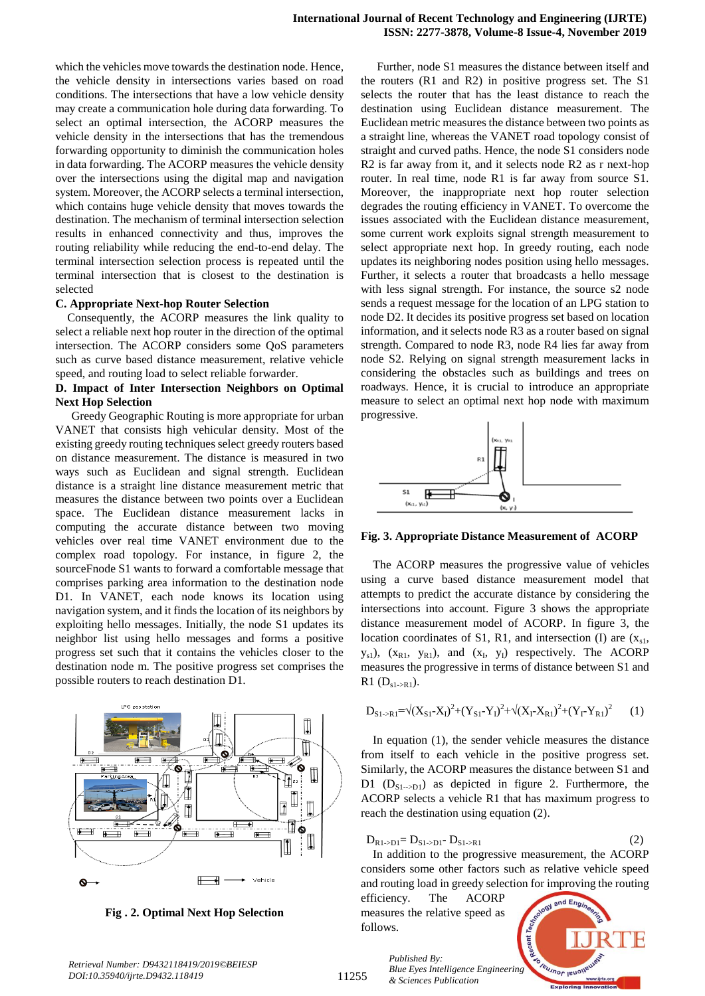which the vehicles move towards the destination node. Hence, the vehicle density in intersections varies based on road conditions. The intersections that have a low vehicle density may create a communication hole during data forwarding. To select an optimal intersection, the ACORP measures the vehicle density in the intersections that has the tremendous forwarding opportunity to diminish the communication holes in data forwarding. The ACORP measures the vehicle density over the intersections using the digital map and navigation system. Moreover, the ACORP selects a terminal intersection, which contains huge vehicle density that moves towards the destination. The mechanism of terminal intersection selection results in enhanced connectivity and thus, improves the routing reliability while reducing the end-to-end delay. The terminal intersection selection process is repeated until the terminal intersection that is closest to the destination is selected

#### **C. Appropriate Next-hop Router Selection**

Consequently, the ACORP measures the link quality to select a reliable next hop router in the direction of the optimal intersection. The ACORP considers some QoS parameters such as curve based distance measurement, relative vehicle speed, and routing load to select reliable forwarder.

## **D. Impact of Inter Intersection Neighbors on Optimal Next Hop Selection**

Greedy Geographic Routing is more appropriate for urban VANET that consists high vehicular density. Most of the existing greedy routing techniques select greedy routers based on distance measurement. The distance is measured in two ways such as Euclidean and signal strength. Euclidean distance is a straight line distance measurement metric that measures the distance between two points over a Euclidean space. The Euclidean distance measurement lacks in computing the accurate distance between two moving vehicles over real time VANET environment due to the complex road topology. For instance, in figure 2, the sourceFnode S1 wants to forward a comfortable message that comprises parking area information to the destination node D1. In VANET, each node knows its location using navigation system, and it finds the location of its neighbors by exploiting hello messages. Initially, the node S1 updates its neighbor list using hello messages and forms a positive progress set such that it contains the vehicles closer to the destination node m. The positive progress set comprises the possible routers to reach destination D1.



**Fig . 2. Optimal Next Hop Selection**

Further, node S1 measures the distance between itself and the routers (R1 and R2) in positive progress set. The S1 selects the router that has the least distance to reach the destination using Euclidean distance measurement. The Euclidean metric measures the distance between two points as a straight line, whereas the VANET road topology consist of straight and curved paths. Hence, the node S1 considers node R2 is far away from it, and it selects node R2 as r next-hop router. In real time, node R1 is far away from source S1. Moreover, the inappropriate next hop router selection degrades the routing efficiency in VANET. To overcome the issues associated with the Euclidean distance measurement, some current work exploits signal strength measurement to select appropriate next hop. In greedy routing, each node updates its neighboring nodes position using hello messages. Further, it selects a router that broadcasts a hello message with less signal strength. For instance, the source s2 node sends a request message for the location of an LPG station to node D2. It decides its positive progress set based on location information, and it selects node R3 as a router based on signal strength. Compared to node R3, node R4 lies far away from node S2. Relying on signal strength measurement lacks in considering the obstacles such as buildings and trees on roadways. Hence, it is crucial to introduce an appropriate measure to select an optimal next hop node with maximum progressive.



**Fig. 3. Appropriate Distance Measurement of ACORP**

The ACORP measures the progressive value of vehicles using a curve based distance measurement model that attempts to predict the accurate distance by considering the intersections into account. Figure 3 shows the appropriate distance measurement model of ACORP. In figure 3, the location coordinates of S1, R1, and intersection (I) are  $(x_{s1},$  $y_{s1}$ ),  $(x_{R1}, y_{R1})$ , and  $(x_I, y_I)$  respectively. The ACORP measures the progressive in terms of distance between S1 and  $R1 (D_{s1 \rightarrow R1}).$ 

$$
D_{S1\rightarrow R1} = \sqrt{(X_{S1}-X_{I})^2 + (Y_{S1}-Y_{I})^2} + \sqrt{(X_{I}-X_{R1})^2 + (Y_{I}-Y_{R1})^2}
$$
 (1)

In equation (1), the sender vehicle measures the distance from itself to each vehicle in the positive progress set. Similarly, the ACORP measures the distance between S1 and D1  $(D_{S1\rightarrow D1})$  as depicted in figure 2. Furthermore, the ACORP selects a vehicle R1 that has maximum progress to reach the destination using equation (2).

$$
D_{R1 \to D1} = D_{S1 \to D1} - D_{S1 \to R1} \tag{2}
$$

In addition to the progressive measurement, the ACORP considers some other factors such as relative vehicle speed and routing load in greedy selection for improving the routing

efficiency. The ACORP measures the relative speed as follows.

*& Sciences Publication* 

*Published By:*

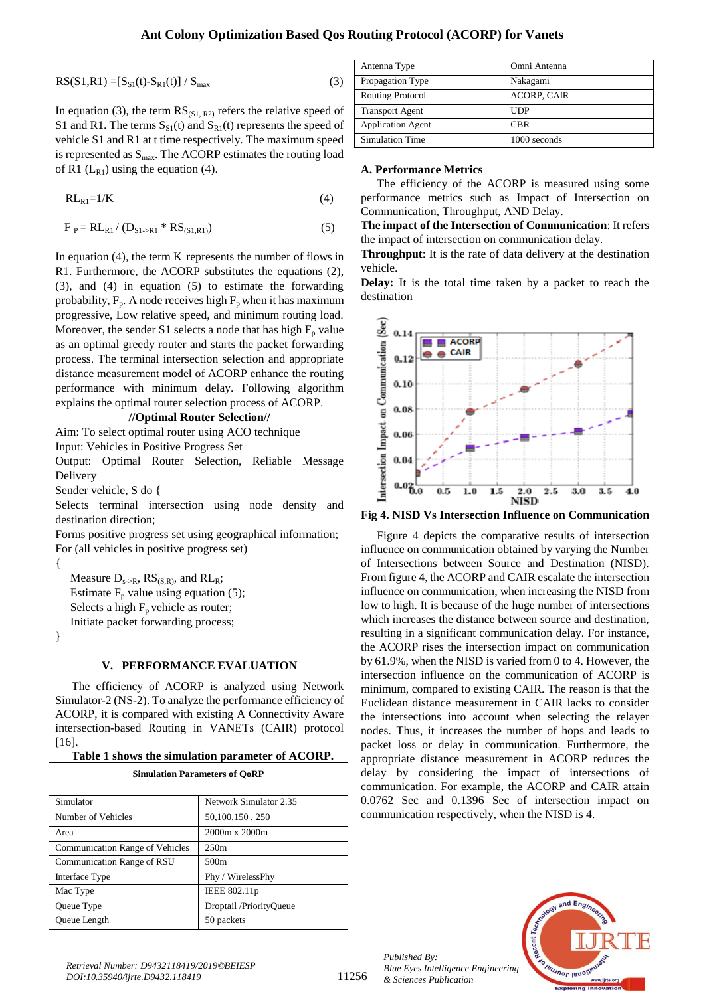$$
RS(S1, R1) = [S_{S1}(t) - S_{R1}(t)] / S_{max}
$$
 (3)

In equation (3), the term  $RS_{(S1, R2)}$  refers the relative speed of S1 and R1. The terms  $S_{S1}(t)$  and  $S_{R1}(t)$  represents the speed of vehicle S1 and R1 at t time respectively. The maximum speed is represented as  $S_{\text{max}}$ . The ACORP estimates the routing load of R1  $(L_{R1})$  using the equation (4).

$$
RL_{R1} = 1/K \tag{4}
$$

$$
F_P = R L_{R1} / (D_{S1 \to R1} * RS_{(S1,R1)})
$$
 (5)

In equation (4), the term K represents the number of flows in R1. Furthermore, the ACORP substitutes the equations (2), (3), and (4) in equation (5) to estimate the forwarding probability,  $F_p$ . A node receives high  $F_p$  when it has maximum progressive, Low relative speed, and minimum routing load. Moreover, the sender S1 selects a node that has high  $F_p$  value as an optimal greedy router and starts the packet forwarding process. The terminal intersection selection and appropriate distance measurement model of ACORP enhance the routing performance with minimum delay. Following algorithm explains the optimal router selection process of ACORP.

#### **//Optimal Router Selection//**

Aim: To select optimal router using ACO technique Input: Vehicles in Positive Progress Set

Output: Optimal Router Selection, Reliable Message Delivery

Sender vehicle, S do {

Selects terminal intersection using node density and destination direction;

Forms positive progress set using geographical information; For (all vehicles in positive progress set)

Measure  $D_{s\rightarrow R}$ ,  $RS_{(S,R)}$ , and  $RL_{R}$ ; Estimate  $F_p$  value using equation (5); Selects a high  $F_p$  vehicle as router; Initiate packet forwarding process;

}

{

### **V. PERFORMANCE EVALUATION**

The efficiency of ACORP is analyzed using Network Simulator-2 (NS-2). To analyze the performance efficiency of ACORP, it is compared with existing A Connectivity Aware intersection-based Routing in VANETs (CAIR) protocol [16].

| Table 1 shows the simulation parameter of ACORP. |  |  |  |
|--------------------------------------------------|--|--|--|
|--------------------------------------------------|--|--|--|

| <b>Simulation Parameters of OoRP</b>   |                         |  |  |
|----------------------------------------|-------------------------|--|--|
| Simulator                              | Network Simulator 2.35  |  |  |
| Number of Vehicles                     | 50,100,150,250          |  |  |
| Area                                   | $2000m \times 2000m$    |  |  |
| <b>Communication Range of Vehicles</b> | 250m                    |  |  |
| Communication Range of RSU             | 500 <sub>m</sub>        |  |  |
| Interface Type                         | Phy / WirelessPhy       |  |  |
| Mac Type                               | IEEE 802.11p            |  |  |
| Queue Type                             | Droptail /PriorityOueue |  |  |
| Queue Length                           | 50 packets              |  |  |

| Antenna Type             | Omni Antenna       |
|--------------------------|--------------------|
| Propagation Type         | Nakagami           |
| <b>Routing Protocol</b>  | <b>ACORP, CAIR</b> |
| <b>Transport Agent</b>   | <b>UDP</b>         |
| <b>Application Agent</b> | <b>CBR</b>         |
| <b>Simulation Time</b>   | 1000 seconds       |

## **A. Performance Metrics**

The efficiency of the ACORP is measured using some performance metrics such as Impact of Intersection on Communication, Throughput, AND Delay.

**The impact of the Intersection of Communication**: It refers the impact of intersection on communication delay.

**Throughput**: It is the rate of data delivery at the destination vehicle.

**Delay:** It is the total time taken by a packet to reach the destination



**Fig 4. NISD Vs Intersection Influence on Communication**

Figure 4 depicts the comparative results of intersection influence on communication obtained by varying the Number of Intersections between Source and Destination (NISD). From figure 4, the ACORP and CAIR escalate the intersection influence on communication, when increasing the NISD from low to high. It is because of the huge number of intersections which increases the distance between source and destination, resulting in a significant communication delay. For instance, the ACORP rises the intersection impact on communication by 61.9%, when the NISD is varied from 0 to 4. However, the intersection influence on the communication of ACORP is minimum, compared to existing CAIR. The reason is that the Euclidean distance measurement in CAIR lacks to consider the intersections into account when selecting the relayer nodes. Thus, it increases the number of hops and leads to packet loss or delay in communication. Furthermore, the appropriate distance measurement in ACORP reduces the delay by considering the impact of intersections of communication. For example, the ACORP and CAIR attain 0.0762 Sec and 0.1396 Sec of intersection impact on communication respectively, when the NISD is 4.



11256

*Published By:*

*& Sciences Publication*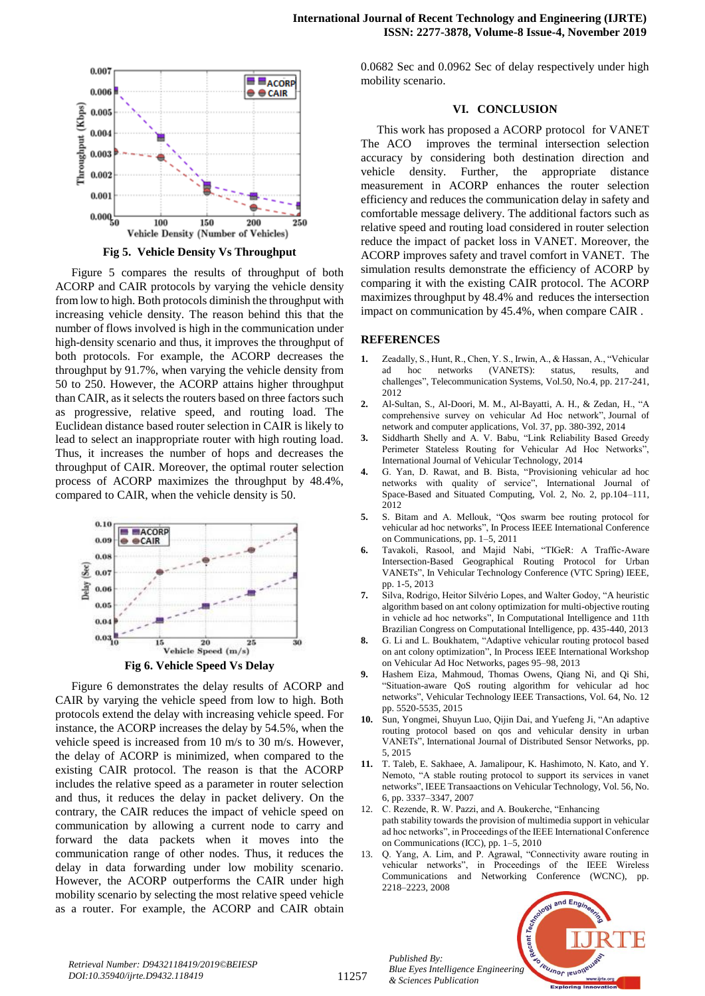

**Fig 5. Vehicle Density Vs Throughput**

Figure 5 compares the results of throughput of both ACORP and CAIR protocols by varying the vehicle density from low to high. Both protocols diminish the throughput with increasing vehicle density. The reason behind this that the number of flows involved is high in the communication under high-density scenario and thus, it improves the throughput of both protocols. For example, the ACORP decreases the throughput by 91.7%, when varying the vehicle density from 50 to 250. However, the ACORP attains higher throughput than CAIR, as it selects the routers based on three factors such as progressive, relative speed, and routing load. The Euclidean distance based router selection in CAIR is likely to lead to select an inappropriate router with high routing load. Thus, it increases the number of hops and decreases the throughput of CAIR. Moreover, the optimal router selection process of ACORP maximizes the throughput by 48.4%, compared to CAIR, when the vehicle density is 50.



Figure 6 demonstrates the delay results of ACORP and CAIR by varying the vehicle speed from low to high. Both protocols extend the delay with increasing vehicle speed. For instance, the ACORP increases the delay by 54.5%, when the vehicle speed is increased from 10 m/s to 30 m/s. However, the delay of ACORP is minimized, when compared to the existing CAIR protocol. The reason is that the ACORP includes the relative speed as a parameter in router selection and thus, it reduces the delay in packet delivery. On the contrary, the CAIR reduces the impact of vehicle speed on communication by allowing a current node to carry and forward the data packets when it moves into the communication range of other nodes. Thus, it reduces the delay in data forwarding under low mobility scenario. However, the ACORP outperforms the CAIR under high mobility scenario by selecting the most relative speed vehicle as a router. For example, the ACORP and CAIR obtain 0.0682 Sec and 0.0962 Sec of delay respectively under high mobility scenario.

### **VI. CONCLUSION**

This work has proposed a ACORP protocol for VANET The ACO improves the terminal intersection selection accuracy by considering both destination direction and vehicle density. Further, the appropriate distance measurement in ACORP enhances the router selection efficiency and reduces the communication delay in safety and comfortable message delivery. The additional factors such as relative speed and routing load considered in router selection reduce the impact of packet loss in VANET. Moreover, the ACORP improves safety and travel comfort in VANET. The simulation results demonstrate the efficiency of ACORP by comparing it with the existing CAIR protocol. The ACORP maximizes throughput by 48.4% and reduces the intersection impact on communication by 45.4%, when compare CAIR .

#### **REFERENCES**

- **1.** Zeadally, S., Hunt, R., Chen, Y. S., Irwin, A., & Hassan, A., "Vehicular ad hoc networks (VANETS): status, results, and challenges", Telecommunication Systems, Vol.50, No.4, pp. 217-241, 2012
- **2.** Al-Sultan, S., Al-Doori, M. M., Al-Bayatti, A. H., & Zedan, H., "A comprehensive survey on vehicular Ad Hoc network", Journal of network and computer applications, Vol. 37, pp. 380-392, 2014
- **3.** Siddharth Shelly and A. V. Babu, "Link Reliability Based Greedy Perimeter Stateless Routing for Vehicular Ad Hoc Networks", International Journal of Vehicular Technology, 2014
- **4.** G. Yan, D. Rawat, and B. Bista, "Provisioning vehicular ad hoc networks with quality of service", International Journal of Space-Based and Situated Computing, Vol. 2, No. 2, pp.104–111, 2012
- **5.** S. Bitam and A. Mellouk, "Qos swarm bee routing protocol for vehicular ad hoc networks", In Process IEEE International Conference on Communications, pp. 1–5, 2011
- **6.** Tavakoli, Rasool, and Majid Nabi, "TIGeR: A Traffic-Aware Intersection-Based Geographical Routing Protocol for Urban VANETs", In Vehicular Technology Conference (VTC Spring) IEEE, pp. 1-5, 2013
- **7.** Silva, Rodrigo, Heitor Silvério Lopes, and Walter Godoy, "A heuristic algorithm based on ant colony optimization for multi-objective routing in vehicle ad hoc networks", In Computational Intelligence and 11th Brazilian Congress on Computational Intelligence, pp. 435-440, 2013
- **8.** G. Li and L. Boukhatem, "Adaptive vehicular routing protocol based on ant colony optimization", In Process IEEE International Workshop on Vehicular Ad Hoc Networks, pages 95–98, 2013
- **9.** Hashem Eiza, Mahmoud, Thomas Owens, Qiang Ni, and Qi Shi, "Situation-aware QoS routing algorithm for vehicular ad hoc networks", Vehicular Technology IEEE Transactions, Vol. 64, No. 12 pp. 5520-5535, 2015
- **10.** Sun, Yongmei, Shuyun Luo, Qijin Dai, and Yuefeng Ji, "An adaptive routing protocol based on qos and vehicular density in urban VANETs", International Journal of Distributed Sensor Networks, pp. 5, 2015
- **11.** T. Taleb, E. Sakhaee, A. Jamalipour, K. Hashimoto, N. Kato, and Y. Nemoto, "A stable routing protocol to support its services in vanet networks", IEEE Transaactions on Vehicular Technology, Vol. 56, No. 6, pp. 3337–3347, 2007
- 12. C. Rezende, R. W. Pazzi, and A. Boukerche, "Enhancing path stability towards the provision of multimedia support in vehicular ad hoc networks", in Proceedings of the IEEE International Conference on Communications (ICC), pp. 1–5, 2010
- 13. Q. Yang, A. Lim, and P. Agrawal, "Connectivity aware routing in vehicular networks", in Proceedings of the IEEE Wireless Communications and Networking Conference (WCNC), pp. 2218–2223, 2008



*Retrieval Number: D9432118419/2019©BEIESP DOI:10.35940/ijrte.D9432.118419*

*Published By: Blue Eyes Intelligence Engineering & Sciences Publication*